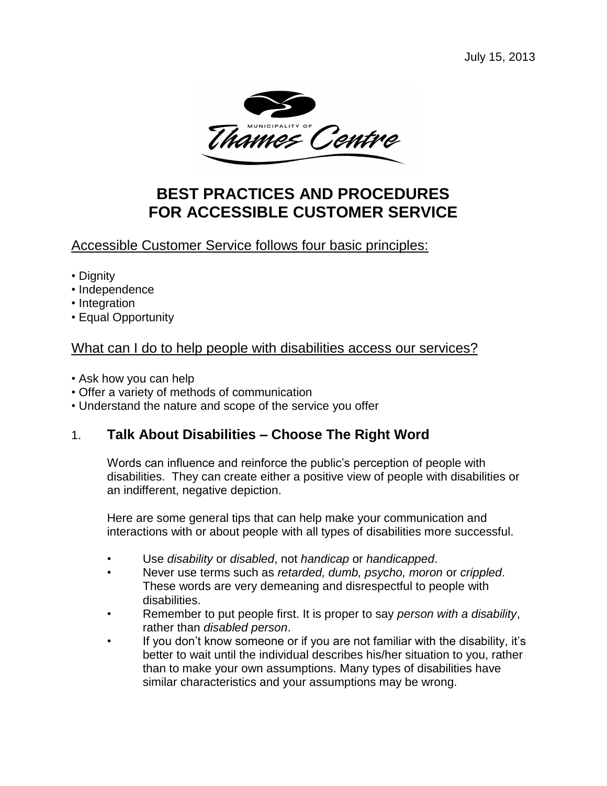

# **BEST PRACTICES AND PROCEDURES FOR ACCESSIBLE CUSTOMER SERVICE**

# Accessible Customer Service follows four basic principles:

- Dignity
- Independence
- Integration
- Equal Opportunity

# What can I do to help people with disabilities access our services?

- Ask how you can help
- Offer a variety of methods of communication
- Understand the nature and scope of the service you offer

# 1. **Talk About Disabilities – Choose The Right Word**

Words can influence and reinforce the public's perception of people with disabilities. They can create either a positive view of people with disabilities or an indifferent, negative depiction.

Here are some general tips that can help make your communication and interactions with or about people with all types of disabilities more successful.

- Use *disability* or *disabled*, not *handicap* or *handicapped*.
- Never use terms such as *retarded, dumb, psycho, moron* or *crippled*. These words are very demeaning and disrespectful to people with disabilities.
- Remember to put people first. It is proper to say *person with a disability*, rather than *disabled person*.
- If you don't know someone or if you are not familiar with the disability, it's better to wait until the individual describes his/her situation to you, rather than to make your own assumptions. Many types of disabilities have similar characteristics and your assumptions may be wrong.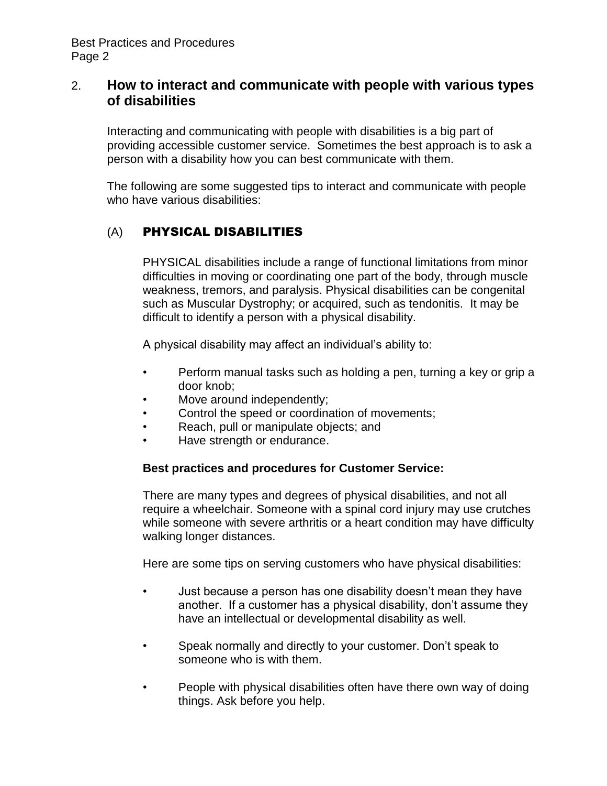## 2. **How to interact and communicate with people with various types of disabilities**

Interacting and communicating with people with disabilities is a big part of providing accessible customer service. Sometimes the best approach is to ask a person with a disability how you can best communicate with them.

The following are some suggested tips to interact and communicate with people who have various disabilities:

## (A) PHYSICAL DISABILITIES

PHYSICAL disabilities include a range of functional limitations from minor difficulties in moving or coordinating one part of the body, through muscle weakness, tremors, and paralysis. Physical disabilities can be congenital such as Muscular Dystrophy; or acquired, such as tendonitis. It may be difficult to identify a person with a physical disability.

A physical disability may affect an individual's ability to:

- Perform manual tasks such as holding a pen, turning a key or grip a door knob;
- Move around independently;
- Control the speed or coordination of movements;
- Reach, pull or manipulate objects; and
- Have strength or endurance.

#### **Best practices and procedures for Customer Service:**

There are many types and degrees of physical disabilities, and not all require a wheelchair. Someone with a spinal cord injury may use crutches while someone with severe arthritis or a heart condition may have difficulty walking longer distances.

Here are some tips on serving customers who have physical disabilities:

- Just because a person has one disability doesn't mean they have another. If a customer has a physical disability, don't assume they have an intellectual or developmental disability as well.
- Speak normally and directly to your customer. Don't speak to someone who is with them.
- People with physical disabilities often have there own way of doing things. Ask before you help.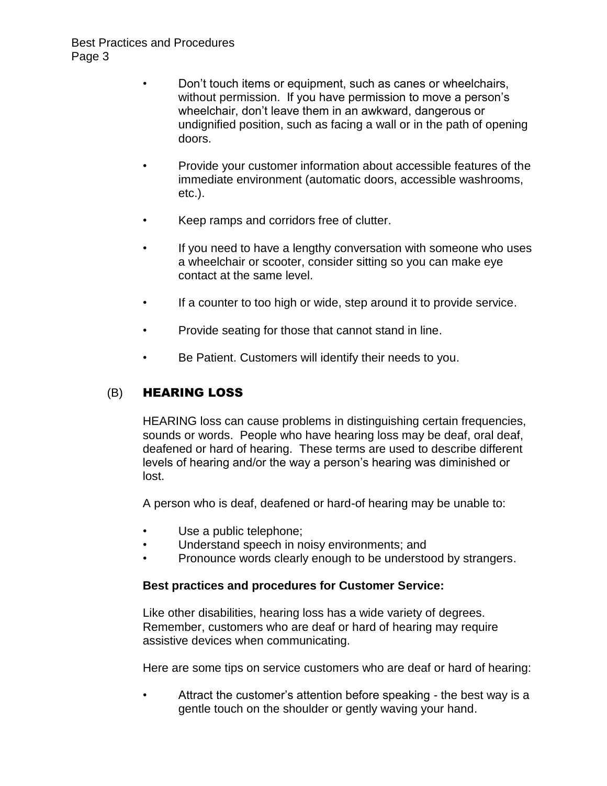- Don't touch items or equipment, such as canes or wheelchairs, without permission. If you have permission to move a person's wheelchair, don't leave them in an awkward, dangerous or undignified position, such as facing a wall or in the path of opening doors.
- Provide your customer information about accessible features of the immediate environment (automatic doors, accessible washrooms, etc.).
- Keep ramps and corridors free of clutter.
- If you need to have a lengthy conversation with someone who uses a wheelchair or scooter, consider sitting so you can make eye contact at the same level.
- If a counter to too high or wide, step around it to provide service.
- Provide seating for those that cannot stand in line.
- Be Patient. Customers will identify their needs to you.

## (B) HEARING LOSS

HEARING loss can cause problems in distinguishing certain frequencies, sounds or words. People who have hearing loss may be deaf, oral deaf, deafened or hard of hearing. These terms are used to describe different levels of hearing and/or the way a person's hearing was diminished or lost.

A person who is deaf, deafened or hard-of hearing may be unable to:

- Use a public telephone;
- Understand speech in noisy environments; and
- Pronounce words clearly enough to be understood by strangers.

### **Best practices and procedures for Customer Service:**

Like other disabilities, hearing loss has a wide variety of degrees. Remember, customers who are deaf or hard of hearing may require assistive devices when communicating.

Here are some tips on service customers who are deaf or hard of hearing:

• Attract the customer's attention before speaking - the best way is a gentle touch on the shoulder or gently waving your hand.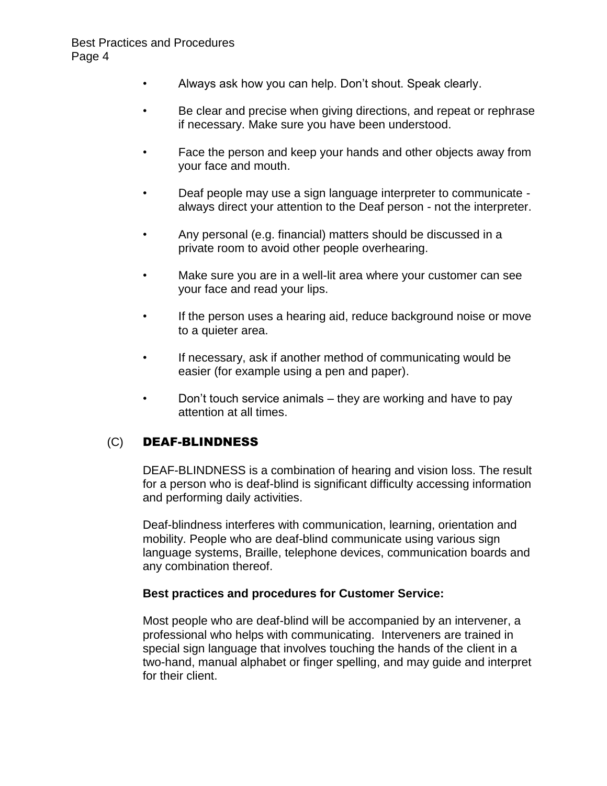- Always ask how you can help. Don't shout. Speak clearly.
- Be clear and precise when giving directions, and repeat or rephrase if necessary. Make sure you have been understood.
- Face the person and keep your hands and other objects away from your face and mouth.
- Deaf people may use a sign language interpreter to communicate always direct your attention to the Deaf person - not the interpreter.
- Any personal (e.g. financial) matters should be discussed in a private room to avoid other people overhearing.
- Make sure you are in a well-lit area where your customer can see your face and read your lips.
- If the person uses a hearing aid, reduce background noise or move to a quieter area.
- If necessary, ask if another method of communicating would be easier (for example using a pen and paper).
- Don't touch service animals they are working and have to pay attention at all times.

### (C) DEAF-BLINDNESS

DEAF-BLINDNESS is a combination of hearing and vision loss. The result for a person who is deaf-blind is significant difficulty accessing information and performing daily activities.

Deaf-blindness interferes with communication, learning, orientation and mobility. People who are deaf-blind communicate using various sign language systems, Braille, telephone devices, communication boards and any combination thereof.

#### **Best practices and procedures for Customer Service:**

Most people who are deaf-blind will be accompanied by an intervener, a professional who helps with communicating. Interveners are trained in special sign language that involves touching the hands of the client in a two-hand, manual alphabet or finger spelling, and may guide and interpret for their client.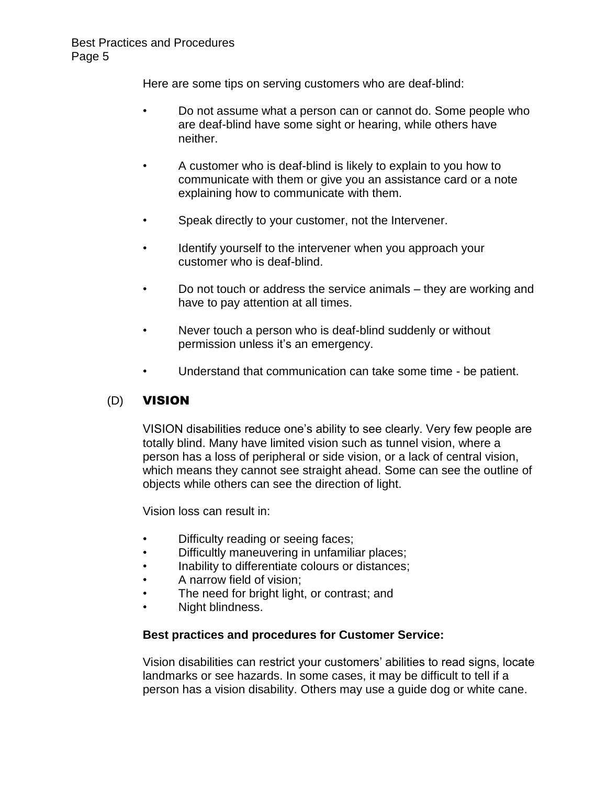Here are some tips on serving customers who are deaf-blind:

- Do not assume what a person can or cannot do. Some people who are deaf-blind have some sight or hearing, while others have neither.
- A customer who is deaf-blind is likely to explain to you how to communicate with them or give you an assistance card or a note explaining how to communicate with them.
- Speak directly to your customer, not the Intervener.
- Identify yourself to the intervener when you approach your customer who is deaf-blind.
- Do not touch or address the service animals they are working and have to pay attention at all times.
- Never touch a person who is deaf-blind suddenly or without permission unless it's an emergency.
- Understand that communication can take some time be patient.

### (D) VISION

VISION disabilities reduce one's ability to see clearly. Very few people are totally blind. Many have limited vision such as tunnel vision, where a person has a loss of peripheral or side vision, or a lack of central vision, which means they cannot see straight ahead. Some can see the outline of objects while others can see the direction of light.

Vision loss can result in:

- Difficulty reading or seeing faces;
- Difficultly maneuvering in unfamiliar places;
- Inability to differentiate colours or distances;
- A narrow field of vision;
- The need for bright light, or contrast; and
- Night blindness.

#### **Best practices and procedures for Customer Service:**

Vision disabilities can restrict your customers' abilities to read signs, locate landmarks or see hazards. In some cases, it may be difficult to tell if a person has a vision disability. Others may use a guide dog or white cane.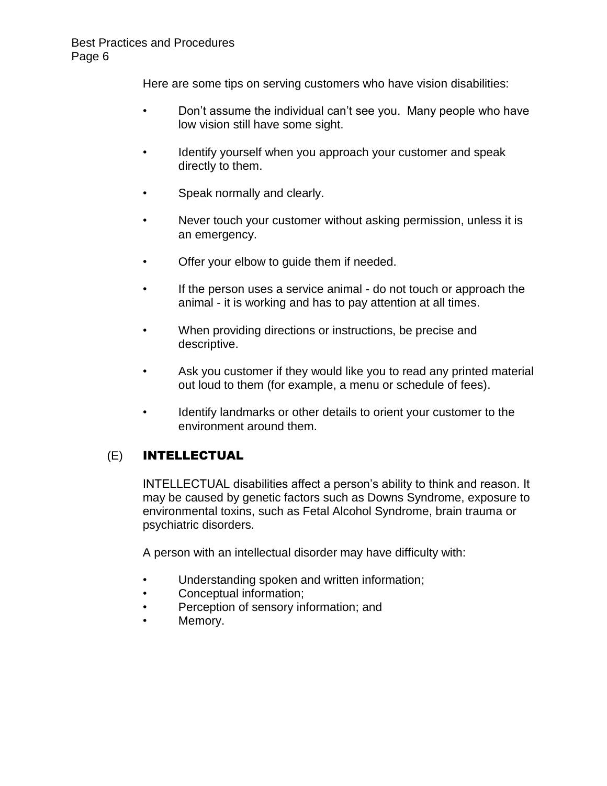Here are some tips on serving customers who have vision disabilities:

- Don't assume the individual can't see you. Many people who have low vision still have some sight.
- Identify yourself when you approach your customer and speak directly to them.
- Speak normally and clearly.
- Never touch your customer without asking permission, unless it is an emergency.
- Offer your elbow to guide them if needed.
- If the person uses a service animal do not touch or approach the animal - it is working and has to pay attention at all times.
- When providing directions or instructions, be precise and descriptive.
- Ask you customer if they would like you to read any printed material out loud to them (for example, a menu or schedule of fees).
- Identify landmarks or other details to orient your customer to the environment around them.

### (E) INTELLECTUAL

INTELLECTUAL disabilities affect a person's ability to think and reason. It may be caused by genetic factors such as Downs Syndrome, exposure to environmental toxins, such as Fetal Alcohol Syndrome, brain trauma or psychiatric disorders.

A person with an intellectual disorder may have difficulty with:

- Understanding spoken and written information;
- Conceptual information;
- Perception of sensory information; and
- Memory.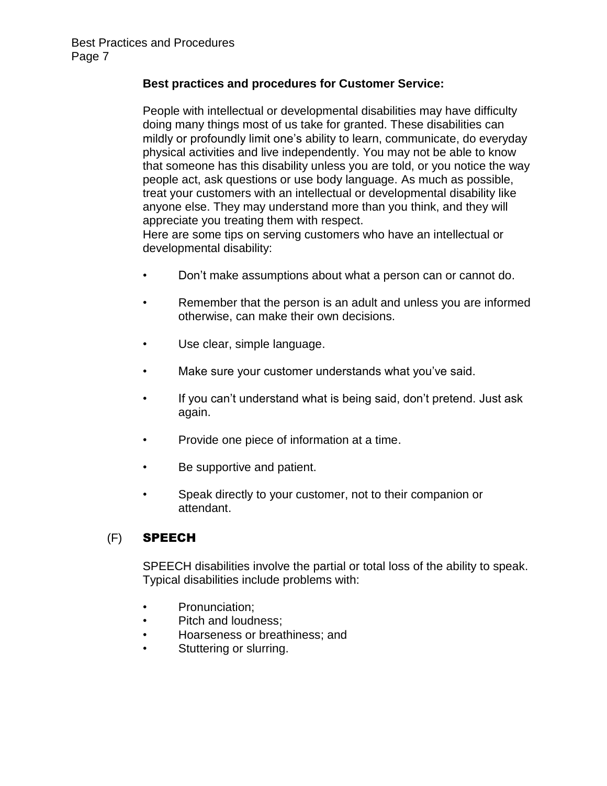#### **Best practices and procedures for Customer Service:**

People with intellectual or developmental disabilities may have difficulty doing many things most of us take for granted. These disabilities can mildly or profoundly limit one's ability to learn, communicate, do everyday physical activities and live independently. You may not be able to know that someone has this disability unless you are told, or you notice the way people act, ask questions or use body language. As much as possible, treat your customers with an intellectual or developmental disability like anyone else. They may understand more than you think, and they will appreciate you treating them with respect.

Here are some tips on serving customers who have an intellectual or developmental disability:

- Don't make assumptions about what a person can or cannot do.
- Remember that the person is an adult and unless you are informed otherwise, can make their own decisions.
- Use clear, simple language.
- Make sure your customer understands what you've said.
- If you can't understand what is being said, don't pretend. Just ask again.
- Provide one piece of information at a time.
- Be supportive and patient.
- Speak directly to your customer, not to their companion or attendant.

### (F) SPEECH

SPEECH disabilities involve the partial or total loss of the ability to speak. Typical disabilities include problems with:

- Pronunciation;
- Pitch and loudness;
- Hoarseness or breathiness; and
- Stuttering or slurring.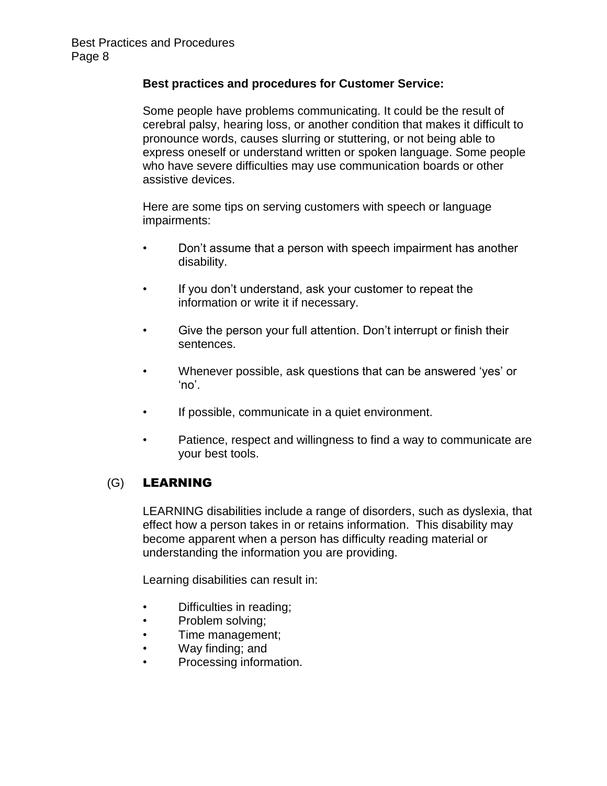#### **Best practices and procedures for Customer Service:**

Some people have problems communicating. It could be the result of cerebral palsy, hearing loss, or another condition that makes it difficult to pronounce words, causes slurring or stuttering, or not being able to express oneself or understand written or spoken language. Some people who have severe difficulties may use communication boards or other assistive devices.

Here are some tips on serving customers with speech or language impairments:

- Don't assume that a person with speech impairment has another disability.
- If you don't understand, ask your customer to repeat the information or write it if necessary.
- Give the person your full attention. Don't interrupt or finish their sentences.
- Whenever possible, ask questions that can be answered 'yes' or 'no'.
- If possible, communicate in a quiet environment.
- Patience, respect and willingness to find a way to communicate are your best tools.

### (G) LEARNING

LEARNING disabilities include a range of disorders, such as dyslexia, that effect how a person takes in or retains information. This disability may become apparent when a person has difficulty reading material or understanding the information you are providing.

Learning disabilities can result in:

- Difficulties in reading;
- Problem solving;
- Time management;
- Way finding; and
- Processing information.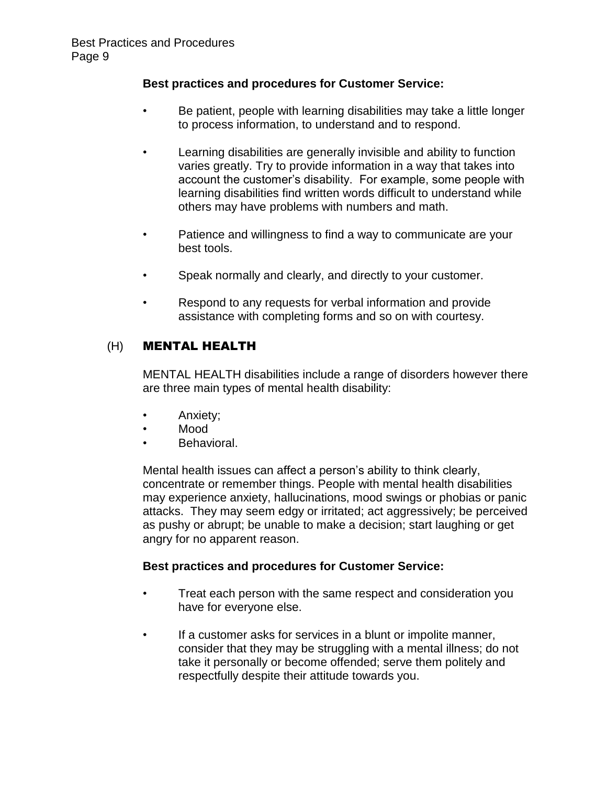#### **Best practices and procedures for Customer Service:**

- Be patient, people with learning disabilities may take a little longer to process information, to understand and to respond.
- Learning disabilities are generally invisible and ability to function varies greatly. Try to provide information in a way that takes into account the customer's disability. For example, some people with learning disabilities find written words difficult to understand while others may have problems with numbers and math.
- Patience and willingness to find a way to communicate are your best tools.
- Speak normally and clearly, and directly to your customer.
- Respond to any requests for verbal information and provide assistance with completing forms and so on with courtesy.

## (H) MENTAL HEALTH

MENTAL HEALTH disabilities include a range of disorders however there are three main types of mental health disability:

- Anxiety;
- Mood
- Behavioral.

Mental health issues can affect a person's ability to think clearly, concentrate or remember things. People with mental health disabilities may experience anxiety, hallucinations, mood swings or phobias or panic attacks. They may seem edgy or irritated; act aggressively; be perceived as pushy or abrupt; be unable to make a decision; start laughing or get angry for no apparent reason.

#### **Best practices and procedures for Customer Service:**

- Treat each person with the same respect and consideration you have for everyone else.
- If a customer asks for services in a blunt or impolite manner, consider that they may be struggling with a mental illness; do not take it personally or become offended; serve them politely and respectfully despite their attitude towards you.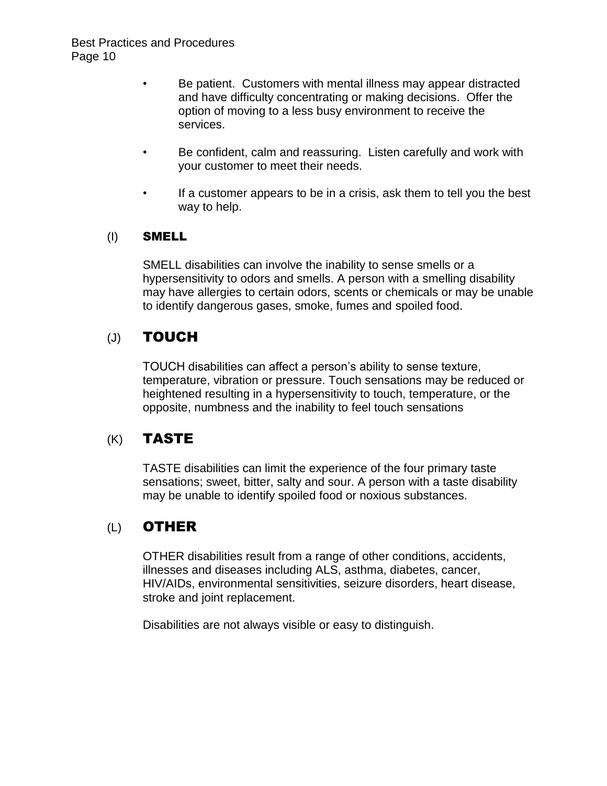- Be patient. Customers with mental illness may appear distracted and have difficulty concentrating or making decisions. Offer the option of moving to a less busy environment to receive the services.
- Be confident, calm and reassuring. Listen carefully and work with your customer to meet their needs.
- If a customer appears to be in a crisis, ask them to tell you the best way to help.

### (I) SMELL

SMELL disabilities can involve the inability to sense smells or a hypersensitivity to odors and smells. A person with a smelling disability may have allergies to certain odors, scents or chemicals or may be unable to identify dangerous gases, smoke, fumes and spoiled food.

# (J) TOUCH

TOUCH disabilities can affect a person's ability to sense texture, temperature, vibration or pressure. Touch sensations may be reduced or heightened resulting in a hypersensitivity to touch, temperature, or the opposite, numbness and the inability to feel touch sensations

# (K) TASTE

TASTE disabilities can limit the experience of the four primary taste sensations; sweet, bitter, salty and sour. A person with a taste disability may be unable to identify spoiled food or noxious substances.

# (L) OTHER

OTHER disabilities result from a range of other conditions, accidents, illnesses and diseases including ALS, asthma, diabetes, cancer, HIV/AIDs, environmental sensitivities, seizure disorders, heart disease, stroke and joint replacement.

Disabilities are not always visible or easy to distinguish.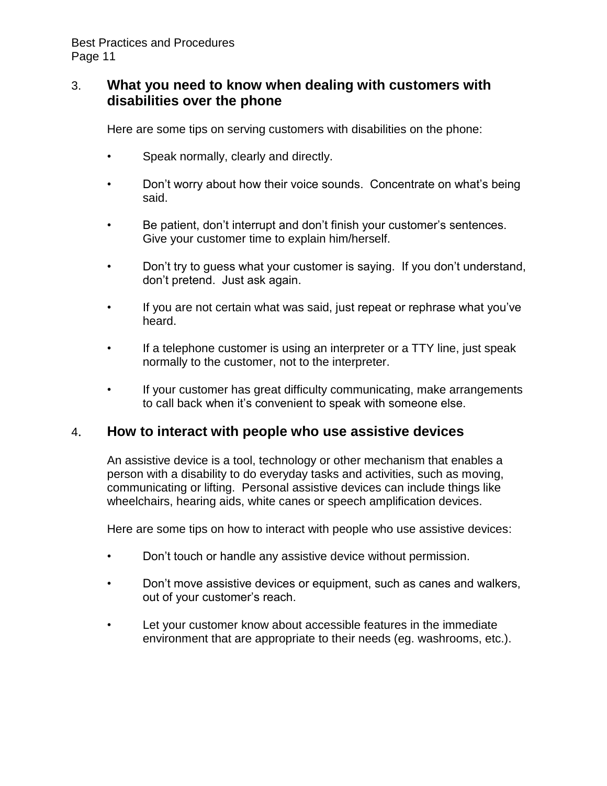## 3. **What you need to know when dealing with customers with disabilities over the phone**

Here are some tips on serving customers with disabilities on the phone:

- Speak normally, clearly and directly.
- Don't worry about how their voice sounds. Concentrate on what's being said.
- Be patient, don't interrupt and don't finish your customer's sentences. Give your customer time to explain him/herself.
- Don't try to guess what your customer is saying. If you don't understand, don't pretend. Just ask again.
- If you are not certain what was said, just repeat or rephrase what you've heard.
- If a telephone customer is using an interpreter or a TTY line, just speak normally to the customer, not to the interpreter.
- If your customer has great difficulty communicating, make arrangements to call back when it's convenient to speak with someone else.

## 4. **How to interact with people who use assistive devices**

An assistive device is a tool, technology or other mechanism that enables a person with a disability to do everyday tasks and activities, such as moving, communicating or lifting. Personal assistive devices can include things like wheelchairs, hearing aids, white canes or speech amplification devices.

Here are some tips on how to interact with people who use assistive devices:

- Don't touch or handle any assistive device without permission.
- Don't move assistive devices or equipment, such as canes and walkers, out of your customer's reach.
- Let your customer know about accessible features in the immediate environment that are appropriate to their needs (eg. washrooms, etc.).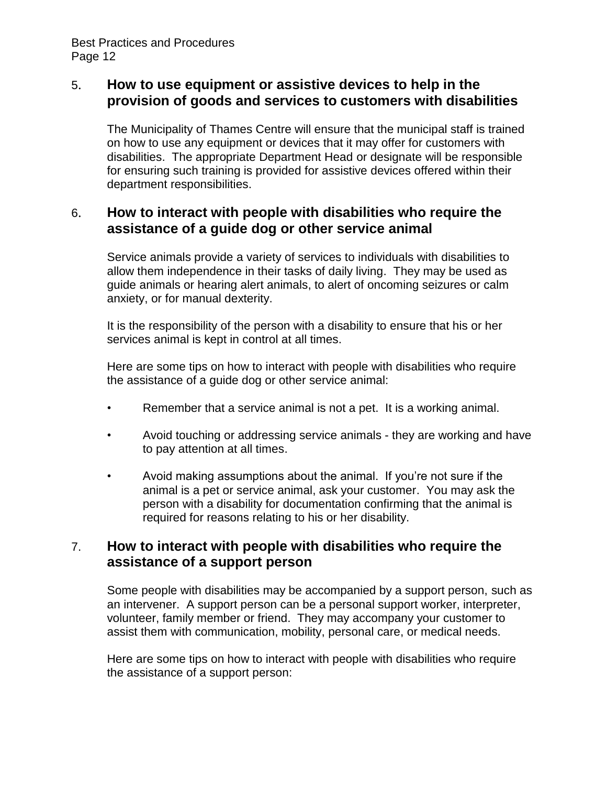# 5. **How to use equipment or assistive devices to help in the provision of goods and services to customers with disabilities**

The Municipality of Thames Centre will ensure that the municipal staff is trained on how to use any equipment or devices that it may offer for customers with disabilities. The appropriate Department Head or designate will be responsible for ensuring such training is provided for assistive devices offered within their department responsibilities.

# 6. **How to interact with people with disabilities who require the assistance of a guide dog or other service animal**

Service animals provide a variety of services to individuals with disabilities to allow them independence in their tasks of daily living. They may be used as guide animals or hearing alert animals, to alert of oncoming seizures or calm anxiety, or for manual dexterity.

It is the responsibility of the person with a disability to ensure that his or her services animal is kept in control at all times.

Here are some tips on how to interact with people with disabilities who require the assistance of a guide dog or other service animal:

- Remember that a service animal is not a pet. It is a working animal.
- Avoid touching or addressing service animals they are working and have to pay attention at all times.
- Avoid making assumptions about the animal. If you're not sure if the animal is a pet or service animal, ask your customer. You may ask the person with a disability for documentation confirming that the animal is required for reasons relating to his or her disability.

# 7. **How to interact with people with disabilities who require the assistance of a support person**

Some people with disabilities may be accompanied by a support person, such as an intervener. A support person can be a personal support worker, interpreter, volunteer, family member or friend. They may accompany your customer to assist them with communication, mobility, personal care, or medical needs.

Here are some tips on how to interact with people with disabilities who require the assistance of a support person: